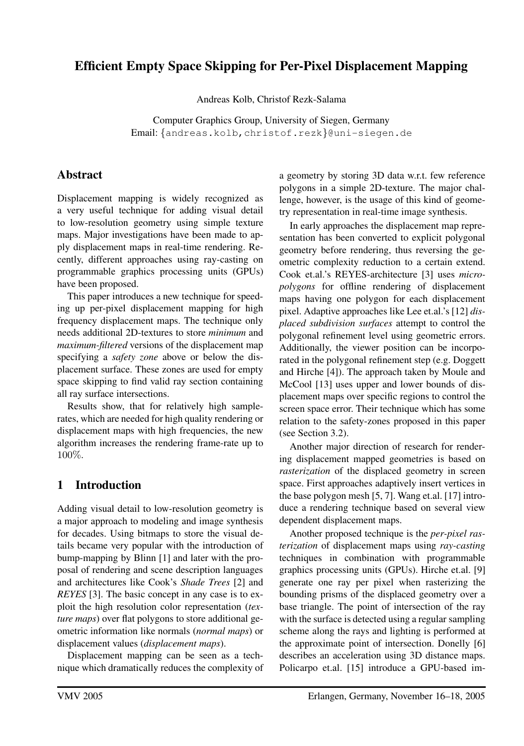# **Efficient Empty Space Skipping for Per-Pixel Displacement Mapping**

Andreas Kolb, Christof Rezk-Salama

Computer Graphics Group, University of Siegen, Germany Email: {andreas.kolb,christof.rezk}@uni-siegen.de

# **Abstract**

Displacement mapping is widely recognized as a very useful technique for adding visual detail to low-resolution geometry using simple texture maps. Major investigations have been made to apply displacement maps in real-time rendering. Recently, different approaches using ray-casting on programmable graphics processing units (GPUs) have been proposed.

This paper introduces a new technique for speeding up per-pixel displacement mapping for high frequency displacement maps. The technique only needs additional 2D-textures to store *minimum* and *maximum-filtered* versions of the displacement map specifying a *safety zone* above or below the displacement surface. These zones are used for empty space skipping to find valid ray section containing all ray surface intersections.

Results show, that for relatively high samplerates, which are needed for high quality rendering or displacement maps with high frequencies, the new algorithm increases the rendering frame-rate up to 100%.

# **1 Introduction**

Adding visual detail to low-resolution geometry is a major approach to modeling and image synthesis for decades. Using bitmaps to store the visual details became very popular with the introduction of bump-mapping by Blinn [1] and later with the proposal of rendering and scene description languages and architectures like Cook's *Shade Trees* [2] and *REYES* [3]. The basic concept in any case is to exploit the high resolution color representation (*texture maps*) over flat polygons to store additional geometric information like normals (*normal maps*) or displacement values (*displacement maps*).

Displacement mapping can be seen as a technique which dramatically reduces the complexity of a geometry by storing 3D data w.r.t. few reference polygons in a simple 2D-texture. The major challenge, however, is the usage of this kind of geometry representation in real-time image synthesis.

In early approaches the displacement map representation has been converted to explicit polygonal geometry before rendering, thus reversing the geometric complexity reduction to a certain extend. Cook et.al.'s REYES-architecture [3] uses *micropolygons* for offline rendering of displacement maps having one polygon for each displacement pixel. Adaptive approaches like Lee et.al.'s [12] *displaced subdivision surfaces* attempt to control the polygonal refinement level using geometric errors. Additionally, the viewer position can be incorporated in the polygonal refinement step (e.g. Doggett and Hirche [4]). The approach taken by Moule and McCool [13] uses upper and lower bounds of displacement maps over specific regions to control the screen space error. Their technique which has some relation to the safety-zones proposed in this paper (see Section 3.2).

Another major direction of research for rendering displacement mapped geometries is based on *rasterization* of the displaced geometry in screen space. First approaches adaptively insert vertices in the base polygon mesh [5, 7]. Wang et.al. [17] introduce a rendering technique based on several view dependent displacement maps.

Another proposed technique is the *per-pixel rasterization* of displacement maps using *ray-casting* techniques in combination with programmable graphics processing units (GPUs). Hirche et.al. [9] generate one ray per pixel when rasterizing the bounding prisms of the displaced geometry over a base triangle. The point of intersection of the ray with the surface is detected using a regular sampling scheme along the rays and lighting is performed at the approximate point of intersection. Donelly [6] describes an acceleration using 3D distance maps. Policarpo et.al. [15] introduce a GPU-based im-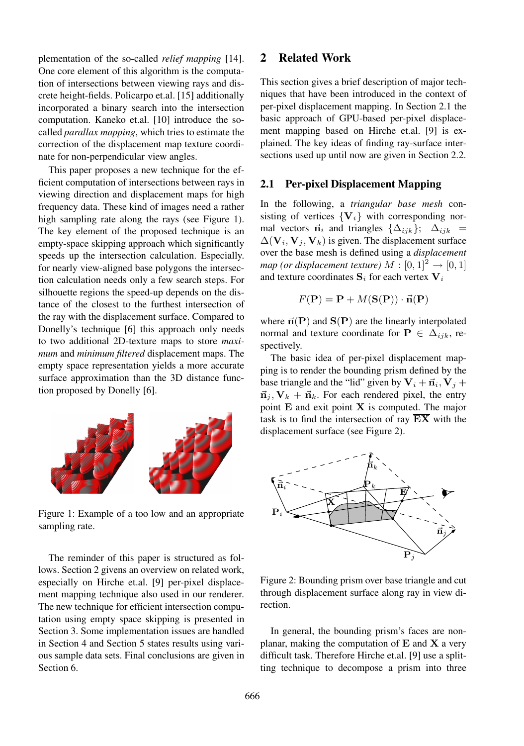plementation of the so-called *relief mapping* [14]. One core element of this algorithm is the computation of intersections between viewing rays and discrete height-fields. Policarpo et.al. [15] additionally incorporated a binary search into the intersection computation. Kaneko et.al. [10] introduce the socalled *parallax mapping*, which tries to estimate the correction of the displacement map texture coordinate for non-perpendicular view angles.

This paper proposes a new technique for the efficient computation of intersections between rays in viewing direction and displacement maps for high frequency data. These kind of images need a rather high sampling rate along the rays (see Figure 1). The key element of the proposed technique is an empty-space skipping approach which significantly speeds up the intersection calculation. Especially. for nearly view-aligned base polygons the intersection calculation needs only a few search steps. For silhouette regions the speed-up depends on the distance of the closest to the furthest intersection of the ray with the displacement surface. Compared to Donelly's technique [6] this approach only needs to two additional 2D-texture maps to store *maximum* and *minimum filtered* displacement maps. The empty space representation yields a more accurate surface approximation than the 3D distance function proposed by Donelly [6].



Figure 1: Example of a too low and an appropriate sampling rate.

The reminder of this paper is structured as follows. Section 2 givens an overview on related work, especially on Hirche et.al. [9] per-pixel displacement mapping technique also used in our renderer. The new technique for efficient intersection computation using empty space skipping is presented in Section 3. Some implementation issues are handled in Section 4 and Section 5 states results using various sample data sets. Final conclusions are given in Section 6.

### **2 Related Work**

This section gives a brief description of major techniques that have been introduced in the context of per-pixel displacement mapping. In Section 2.1 the basic approach of GPU-based per-pixel displacement mapping based on Hirche et.al. [9] is explained. The key ideas of finding ray-surface intersections used up until now are given in Section 2.2.

#### **2.1 Per-pixel Displacement Mapping**

In the following, a *triangular base mesh* consisting of vertices  ${V_i}$  with corresponding normal vectors  $\vec{n}_i$  and triangles  $\{\Delta_{ijk}\}\; ; \; \Delta_{ijk} =$  $\Delta$ ( ${\bf V}_i$ ,  ${\bf V}_j$ ,  ${\bf V}_k$ ) is given. The displacement surface over the base mesh is defined using a *displacement map* (*or displacement texture*)  $M : [0, 1]^2 \rightarrow [0, 1]$ and texture coordinates  $S_i$  for each vertex  $V_i$ 

$$
F(\mathbf{P}) = \mathbf{P} + M(\mathbf{S}(\mathbf{P})) \cdot \vec{\mathbf{n}}(\mathbf{P})
$$

where  $\vec{n}(P)$  and  $S(P)$  are the linearly interpolated normal and texture coordinate for  $P \in \Delta_{iik}$ , respectively.

The basic idea of per-pixel displacement mapping is to render the bounding prism defined by the base triangle and the "lid" given by  $V_i + \vec{n}_i$ ,  $V_j + \vec{n}_j$  $\vec{n}_i$ ,  $V_k + \vec{n}_k$ . For each rendered pixel, the entry point  $E$  and exit point  $X$  is computed. The major task is to find the intersection of ray  $\overline{EX}$  with the displacement surface (see Figure 2).



Figure 2: Bounding prism over base triangle and cut through displacement surface along ray in view direction.

In general, the bounding prism's faces are nonplanar, making the computation of  $E$  and  $X$  a very difficult task. Therefore Hirche et.al. [9] use a splitting technique to decompose a prism into three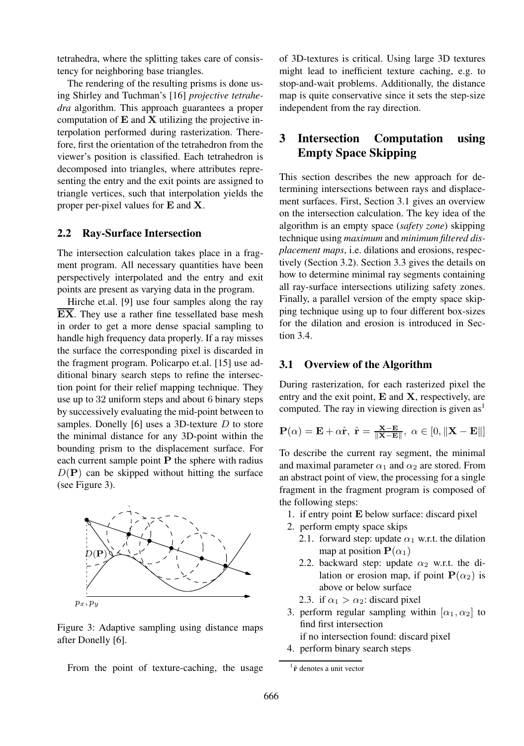tetrahedra, where the splitting takes care of consistency for neighboring base triangles.

The rendering of the resulting prisms is done using Shirley and Tuchman's [16] *projective tetrahedra* algorithm. This approach guarantees a proper computation of  $E$  and  $X$  utilizing the projective interpolation performed during rasterization. Therefore, first the orientation of the tetrahedron from the viewer's position is classified. Each tetrahedron is decomposed into triangles, where attributes representing the entry and the exit points are assigned to triangle vertices, such that interpolation yields the proper per-pixel values for E and X.

#### **2.2 Ray-Surface Intersection**

The intersection calculation takes place in a fragment program. All necessary quantities have been perspectively interpolated and the entry and exit points are present as varying data in the program.

Hirche et.al. [9] use four samples along the ray  $\overline{EX}$ . They use a rather fine tessellated base mesh in order to get a more dense spacial sampling to handle high frequency data properly. If a ray misses the surface the corresponding pixel is discarded in the fragment program. Policarpo et.al. [15] use additional binary search steps to refine the intersection point for their relief mapping technique. They use up to 32 uniform steps and about 6 binary steps by successively evaluating the mid-point between to samples. Donelly [6] uses a 3D-texture  $D$  to store the minimal distance for any 3D-point within the bounding prism to the displacement surface. For each current sample point  $P$  the sphere with radius  $D(\mathbf{P})$  can be skipped without hitting the surface (see Figure 3).



Figure 3: Adaptive sampling using distance maps after Donelly [6].

From the point of texture-caching, the usage

of 3D-textures is critical. Using large 3D textures might lead to inefficient texture caching, e.g. to stop-and-wait problems. Additionally, the distance map is quite conservative since it sets the step-size independent from the ray direction.

## **3 Intersection Computation using Empty Space Skipping**

This section describes the new approach for determining intersections between rays and displacement surfaces. First, Section 3.1 gives an overview on the intersection calculation. The key idea of the algorithm is an empty space (*safety zone*) skipping technique using *maximum* and *minimum filtered displacement maps*, i.e. dilations and erosions, respectively (Section 3.2). Section 3.3 gives the details on how to determine minimal ray segments containing all ray-surface intersections utilizing safety zones. Finally, a parallel version of the empty space skipping technique using up to four different box-sizes for the dilation and erosion is introduced in Section 3.4.

#### **3.1 Overview of the Algorithm**

During rasterization, for each rasterized pixel the entry and the exit point,  $E$  and  $X$ , respectively, are computed. The ray in viewing direction is given  $as<sup>1</sup>$ 

$$
\mathbf{P}(\alpha) = \mathbf{E} + \alpha \hat{\mathbf{r}}, \ \hat{\mathbf{r}} = \frac{\mathbf{X} - \mathbf{E}}{\|\mathbf{X} - \mathbf{E}\|}, \ \alpha \in [0, \|\mathbf{X} - \mathbf{E}\|]
$$

To describe the current ray segment, the minimal and maximal parameter  $\alpha_1$  and  $\alpha_2$  are stored. From an abstract point of view, the processing for a single fragment in the fragment program is composed of the following steps:

- 1. if entry point E below surface: discard pixel
- 2. perform empty space skips
	- 2.1. forward step: update  $\alpha_1$  w.r.t. the dilation map at position  $P(\alpha_1)$
	- 2.2. backward step: update  $\alpha_2$  w.r.t. the dilation or erosion map, if point  $P(\alpha_2)$  is above or below surface
	- 2.3. if  $\alpha_1 > \alpha_2$ : discard pixel
- 3. perform regular sampling within  $[\alpha_1, \alpha_2]$  to find first intersection
	- if no intersection found: discard pixel
- 4. perform binary search steps

 $1\hat{\mathbf{r}}$  denotes a unit vector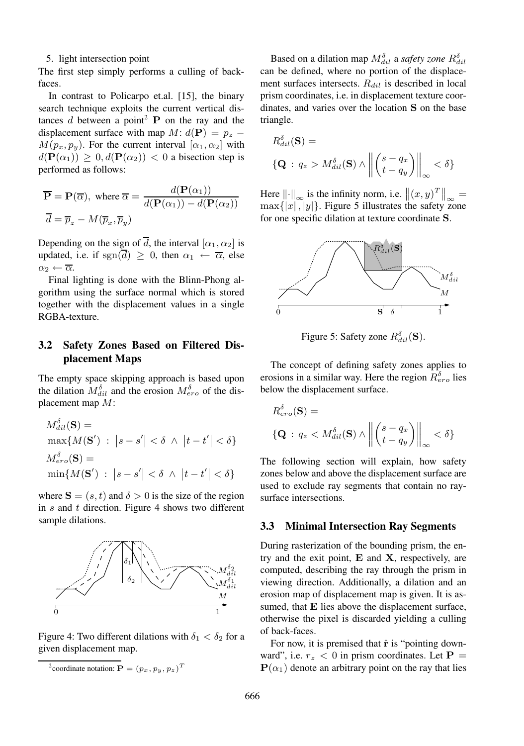#### 5. light intersection point

The first step simply performs a culling of backfaces.

In contrast to Policarpo et.al. [15], the binary search technique exploits the current vertical distances d between a point<sup>2</sup> **P** on the ray and the displacement surface with map  $M: d(\mathbf{P}) = p_z M(p_x, p_y)$ . For the current interval  $[\alpha_1, \alpha_2]$  with  $d(\mathbf{P}(\alpha_1)) \geq 0, d(\mathbf{P}(\alpha_2)) < 0$  a bisection step is performed as follows:

$$
\overline{\mathbf{P}} = \mathbf{P}(\overline{\alpha}), \text{ where } \overline{\alpha} = \frac{d(\mathbf{P}(\alpha_1))}{d(\mathbf{P}(\alpha_1)) - d(\mathbf{P}(\alpha_2))}
$$

$$
\overline{d} = \overline{p}_z - M(\overline{p}_x, \overline{p}_y)
$$

Depending on the sign of  $\overline{d}$ , the interval  $[\alpha_1, \alpha_2]$  is updated, i.e. if sgn( $\overline{d}$ ) > 0, then  $\alpha_1 \leftarrow \overline{\alpha}$ , else  $\alpha_2 \leftarrow \overline{\alpha}$ .

Final lighting is done with the Blinn-Phong algorithm using the surface normal which is stored together with the displacement values in a single RGBA-texture.

### **3.2 Safety Zones Based on Filtered Displacement Maps**

The empty space skipping approach is based upon the dilation  $M_{dil}^{\delta}$  and the erosion  $M_{ero}^{\delta}$  of the displacement map M:

$$
M_{dil}^{\delta}(\mathbf{S}) =
$$
  
\n
$$
\max\{M(\mathbf{S}') : |s - s'| < \delta \land |t - t'| < \delta\}
$$
  
\n
$$
M_{ero}^{\delta}(\mathbf{S}) =
$$
  
\n
$$
\min\{M(\mathbf{S}') : |s - s'| < \delta \land |t - t'| < \delta\}
$$

where  $S = (s, t)$  and  $\delta > 0$  is the size of the region in  $s$  and  $t$  direction. Figure 4 shows two different sample dilations.



Figure 4: Two different dilations with  $\delta_1 < \delta_2$  for a given displacement map.

Based on a dilation map  $M_{dil}^{\delta}$  a *safety zone*  $R_{dil}^{\delta}$ can be defined, where no portion of the displacement surfaces intersects.  $R_{dil}$  is described in local prism coordinates, i.e. in displacement texture coordinates, and varies over the location S on the base triangle.

$$
R_{dil}^{\delta}(\mathbf{S}) =
$$
  
{ $\mathbf{Q}: q_z > M_{dil}^{\delta}(\mathbf{S}) \wedge \left\| \begin{pmatrix} s - q_x \\ t - q_y \end{pmatrix} \right\|_{\infty} < \delta$ }

Here  $\|\cdot\|_{\infty}$  is the infinity norm, i.e.  $\|(x, y)^T\|_{\infty} =$  $\max\{|x|, |y|\}.$  Figure 5 illustrates the safety zone for one specific dilation at texture coordinate S.



Figure 5: Safety zone  $R_{dil}^{\delta}(\mathbf{S})$ .

The concept of defining safety zones applies to erosions in a similar way. Here the region  $R_{ero}^{\delta}$  lies below the displacement surface.

$$
R_{ero}^{\delta}(\mathbf{S}) =
$$
  
{ $\mathbf{Q}: q_z < M_{dil}^{\delta}(\mathbf{S}) \wedge \left\| \begin{pmatrix} s - q_x \\ t - q_y \end{pmatrix} \right\|_{\infty} < \delta$ }

The following section will explain, how safety zones below and above the displacement surface are used to exclude ray segments that contain no raysurface intersections.

#### **3.3 Minimal Intersection Ray Segments**

During rasterization of the bounding prism, the entry and the exit point,  $E$  and  $X$ , respectively, are computed, describing the ray through the prism in viewing direction. Additionally, a dilation and an erosion map of displacement map is given. It is assumed, that E lies above the displacement surface, otherwise the pixel is discarded yielding a culling of back-faces.

For now, it is premised that  $\hat{\bf r}$  is "pointing downward", i.e.  $r_z < 0$  in prism coordinates. Let  $P =$  ${\bf P}(\alpha_1)$  denote an arbitrary point on the ray that lies

<sup>&</sup>lt;sup>2</sup>coordinate notation:  $\mathbf{P} = (p_x, p_y, p_z)^T$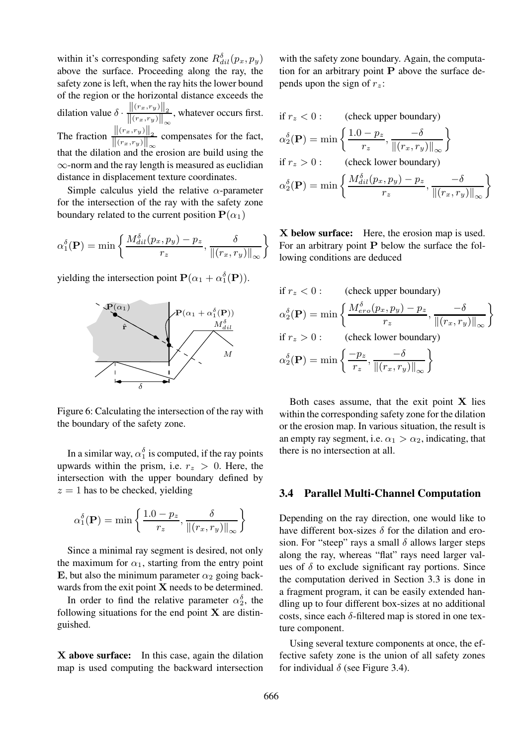within it's corresponding safety zone  $R_{dil}^{\delta}(p_x, p_y)$ above the surface. Proceeding along the ray, the safety zone is left, when the ray hits the lower bound of the region or the horizontal distance exceeds the dilation value  $\delta \cdot \frac{\|(r_x,r_y)\|_2}{\|(r_x,r_y)\|_2}$  $\frac{\|(x,y,y)\|_2}{\|(r_x,r_y)\|_{\infty}}$ , whatever occurs first. The fraction  $\frac{\left\| (r_x, r_y) \right\|_2}{\left\| (r_x, r_y) \right\|_2}$  $\frac{\|f(x,y,y)\|_2}{\|(r_x,r_y)\|_{\infty}}$  compensates for the fact, that the dilation and the erosion are build using the ∞-norm and the ray length is measured as euclidian distance in displacement texture coordinates.

Simple calculus yield the relative  $\alpha$ -parameter for the intersection of the ray with the safety zone boundary related to the current position  ${\bf P}(\alpha_1)$ 

$$
\alpha_1^{\delta}(\mathbf{P}) = \min \left\{ \frac{M_{dil}^{\delta}(p_x, p_y) - p_z}{r_z}, \frac{\delta}{\|(r_x, r_y)\|_{\infty}} \right\}
$$

yielding the intersection point  $\mathbf{P}(\alpha_1 + \alpha_1^{\delta}(\mathbf{P}))$ .



Figure 6: Calculating the intersection of the ray with the boundary of the safety zone.

In a similar way,  $\alpha_1^{\delta}$  is computed, if the ray points upwards within the prism, i.e.  $r_z > 0$ . Here, the intersection with the upper boundary defined by  $z = 1$  has to be checked, yielding

$$
\alpha_1^{\delta}(\mathbf{P}) = \min\left\{ \frac{1.0 - p_z}{r_z}, \frac{\delta}{\| (r_x, r_y) \|_{\infty}} \right\}
$$

Since a minimal ray segment is desired, not only the maximum for  $\alpha_1$ , starting from the entry point E, but also the minimum parameter  $\alpha_2$  going backwards from the exit point X needs to be determined.

In order to find the relative parameter  $\alpha_2^{\delta}$ , the following situations for the end point  $X$  are distinguished.

X **above surface:** In this case, again the dilation map is used computing the backward intersection

with the safety zone boundary. Again, the computation for an arbitrary point  $P$  above the surface depends upon the sign of  $r_z$ :

if 
$$
r_z < 0
$$
:  
\n
$$
\alpha_2^{\delta}(\mathbf{P}) = \min \left\{ \frac{1.0 - p_z}{r_z}, \frac{-\delta}{\|(r_x, r_y)\|_{\infty}} \right\}
$$
\nif  $r_z > 0$ :  
\n(check lower boundary)  
\n
$$
\alpha_2^{\delta}(\mathbf{P}) = \min \left\{ \frac{M_{dil}^{\delta}(p_x, p_y) - p_z}{r_z}, \frac{-\delta}{\|(r_x, r_y)\|_{\infty}} \right\}
$$

X **below surface:** Here, the erosion map is used. For an arbitrary point P below the surface the following conditions are deduced

if 
$$
r_z < 0
$$
: (check upper boundary)  
\n
$$
\alpha_2^{\delta}(\mathbf{P}) = \min \left\{ \frac{M_{ero}^{\delta}(p_x, p_y) - p_z}{r_z}, \frac{-\delta}{\|(r_x, r_y)\|_{\infty}} \right\}
$$
\nif  $r_z > 0$ : (check lower boundary)  
\n
$$
\alpha_2^{\delta}(\mathbf{P}) = \min \left\{ \frac{-p_z}{r_z}, \frac{-\delta}{\|(r_x, r_y)\|_{\infty}} \right\}
$$

Both cases assume, that the exit point  $X$  lies within the corresponding safety zone for the dilation or the erosion map. In various situation, the result is an empty ray segment, i.e.  $\alpha_1 > \alpha_2$ , indicating, that there is no intersection at all.

#### **3.4 Parallel Multi-Channel Computation**

Depending on the ray direction, one would like to have different box-sizes  $\delta$  for the dilation and erosion. For "steep" rays a small  $\delta$  allows larger steps along the ray, whereas "flat" rays need larger values of  $\delta$  to exclude significant ray portions. Since the computation derived in Section 3.3 is done in a fragment program, it can be easily extended handling up to four different box-sizes at no additional costs, since each  $\delta$ -filtered map is stored in one texture component.

Using several texture components at once, the effective safety zone is the union of all safety zones for individual  $\delta$  (see Figure 3.4).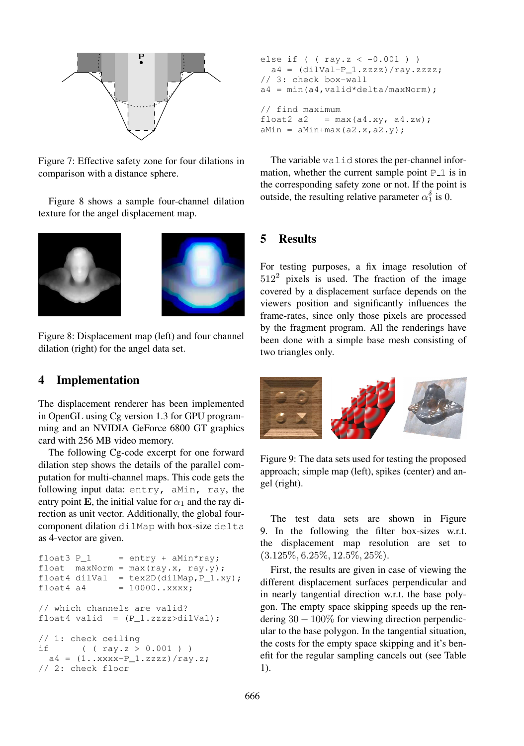

Figure 7: Effective safety zone for four dilations in comparison with a distance sphere.

Figure 8 shows a sample four-channel dilation texture for the angel displacement map.



Figure 8: Displacement map (left) and four channel dilation (right) for the angel data set.

## **4 Implementation**

The displacement renderer has been implemented in OpenGL using Cg version 1.3 for GPU programming and an NVIDIA GeForce 6800 GT graphics card with 256 MB video memory.

The following Cg-code excerpt for one forward dilation step shows the details of the parallel computation for multi-channel maps. This code gets the following input data: entry, aMin, ray, the entry point E, the initial value for  $\alpha_1$  and the ray direction as unit vector. Additionally, the global fourcomponent dilation dilMap with box-size delta as 4-vector are given.

```
float3 P_1 = entry + aMin*ray;float maxNorm = max(ray.x, ray.y);float4 dilVal = tex2D(dilMap, P_1, xy);
float4 a4 = 10000...xxxx;// which channels are valid?
float4 valid = (P_1.zzzz>dival);// 1: check ceiling
if ( ( ray.z > 0.001 ) )
 a4 = (1..xxxx-P_1.zzzz)/ray.z;// 2: check floor
```

```
else if ( (\text{ray.} z < -0.001) )
  a4 = (dilVal-P 1.zzzz)/ray.zzzz;// 3: check box-wall
a4 = min(a4, valid*delta/maxNorm);// find maximum<br>float2 a2 = ma= max(a4.xy, a4.zw);aMin = aMin + max(a2.x, a2.y);
```
The variable valid stores the per-channel information, whether the current sample point  $P_1$  is in the corresponding safety zone or not. If the point is outside, the resulting relative parameter  $\alpha_1^{\delta}$  is 0.

### **5 Results**

For testing purposes, a fix image resolution of  $512<sup>2</sup>$  pixels is used. The fraction of the image covered by a displacement surface depends on the viewers position and significantly influences the frame-rates, since only those pixels are processed by the fragment program. All the renderings have been done with a simple base mesh consisting of two triangles only.



Figure 9: The data sets used for testing the proposed approach; simple map (left), spikes (center) and angel (right).

The test data sets are shown in Figure 9. In the following the filter box-sizes w.r.t. the displacement map resolution are set to (3.125%, 6.25%, 12.5%, 25%).

First, the results are given in case of viewing the different displacement surfaces perpendicular and in nearly tangential direction w.r.t. the base polygon. The empty space skipping speeds up the rendering  $30 - 100\%$  for viewing direction perpendicular to the base polygon. In the tangential situation, the costs for the empty space skipping and it's benefit for the regular sampling cancels out (see Table 1).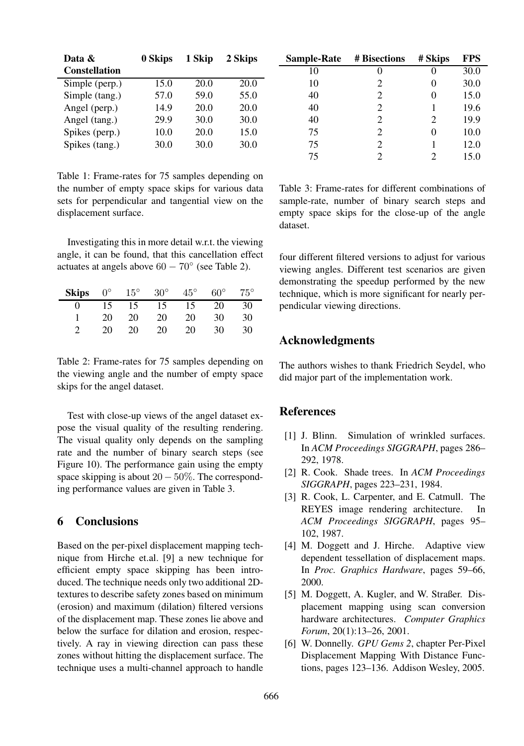| Data &               | 0 Skips | 1 Skip | 2 Skips |
|----------------------|---------|--------|---------|
| <b>Constellation</b> |         |        |         |
| Simple (perp.)       | 15.0    | 20.0   | 20.0    |
| Simple (tang.)       | 57.0    | 59.0   | 55.0    |
| Angel (perp.)        | 14.9    | 20.0   | 20.0    |
| Angel (tang.)        | 29.9    | 30.0   | 30.0    |
| Spikes (perp.)       | 10.0    | 20.0   | 15.0    |
| Spikes (tang.)       | 30.0    | 30.0   | 30.0    |

Table 1: Frame-rates for 75 samples depending on the number of empty space skips for various data sets for perpendicular and tangential view on the displacement surface.

Investigating this in more detail w.r.t. the viewing angle, it can be found, that this cancellation effect actuates at angels above  $60-70^{\circ}$  (see Table 2).

| <b>Skips</b> | $0^{\circ}$ | $15^{\circ}$ | $30^{\circ}$ | $45^{\circ}$ | $60^\circ$ | $75^{\circ}$ |
|--------------|-------------|--------------|--------------|--------------|------------|--------------|
| $\theta$     | 15          | 15           | 15.          | 15           | 20         | 30           |
|              | 20          | 20           | 20           | 20           | 30         | 30           |
|              | 20          | 20           | 20           | 20           | 30         | 30           |

Table 2: Frame-rates for 75 samples depending on the viewing angle and the number of empty space skips for the angel dataset.

Test with close-up views of the angel dataset expose the visual quality of the resulting rendering. The visual quality only depends on the sampling rate and the number of binary search steps (see Figure 10). The performance gain using the empty space skipping is about  $20 - 50\%$ . The corresponding performance values are given in Table 3.

### **6 Conclusions**

Based on the per-pixel displacement mapping technique from Hirche et.al. [9] a new technique for efficient empty space skipping has been introduced. The technique needs only two additional 2Dtextures to describe safety zones based on minimum (erosion) and maximum (dilation) filtered versions of the displacement map. These zones lie above and below the surface for dilation and erosion, respectively. A ray in viewing direction can pass these zones without hitting the displacement surface. The technique uses a multi-channel approach to handle

| <b>Sample-Rate</b> | # Bisections   | # Skips | <b>FPS</b> |
|--------------------|----------------|---------|------------|
| 10                 | $_{0}$         | 0       | 30.0       |
| 10                 | 2              | 0       | 30.0       |
| 40                 | 2              | 0       | 15.0       |
| 40                 | 2              |         | 19.6       |
| 40                 | $\overline{c}$ | 2       | 19.9       |
| 75                 | 2              | 0       | 10.0       |
| 75                 | 2              |         | 12.0       |
| 75                 | 2              | 2       | 15.0       |

Table 3: Frame-rates for different combinations of sample-rate, number of binary search steps and empty space skips for the close-up of the angle dataset.

four different filtered versions to adjust for various viewing angles. Different test scenarios are given demonstrating the speedup performed by the new technique, which is more significant for nearly perpendicular viewing directions.

### **Acknowledgments**

The authors wishes to thank Friedrich Seydel, who did major part of the implementation work.

### **References**

- [1] J. Blinn. Simulation of wrinkled surfaces. In *ACM Proceedings SIGGRAPH*, pages 286– 292, 1978.
- [2] R. Cook. Shade trees. In *ACM Proceedings SIGGRAPH*, pages 223–231, 1984.
- [3] R. Cook, L. Carpenter, and E. Catmull. The REYES image rendering architecture. *ACM Proceedings SIGGRAPH*, pages 95– 102, 1987.
- [4] M. Doggett and J. Hirche. Adaptive view dependent tessellation of displacement maps. In *Proc. Graphics Hardware*, pages 59–66, 2000.
- [5] M. Doggett, A. Kugler, and W. Straßer. Displacement mapping using scan conversion hardware architectures. *Computer Graphics Forum*, 20(1):13–26, 2001.
- [6] W. Donnelly. *GPU Gems 2*, chapter Per-Pixel Displacement Mapping With Distance Functions, pages 123–136. Addison Wesley, 2005.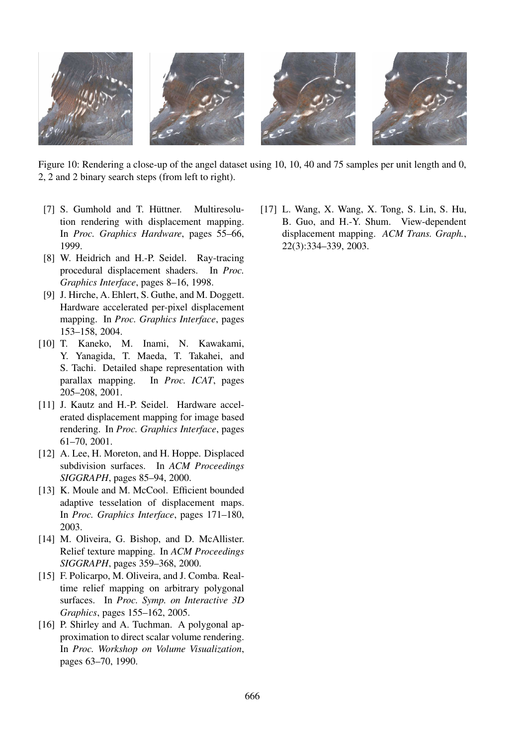

Figure 10: Rendering a close-up of the angel dataset using 10, 10, 40 and 75 samples per unit length and 0, 2, 2 and 2 binary search steps (from left to right).

- [7] S. Gumhold and T. Hüttner. Multiresolution rendering with displacement mapping. In *Proc. Graphics Hardware*, pages 55–66, 1999.
- [8] W. Heidrich and H.-P. Seidel. Ray-tracing procedural displacement shaders. In *Proc. Graphics Interface*, pages 8–16, 1998.
- [9] J. Hirche, A. Ehlert, S. Guthe, and M. Doggett. Hardware accelerated per-pixel displacement mapping. In *Proc. Graphics Interface*, pages 153–158, 2004.
- [10] T. Kaneko, M. Inami, N. Kawakami, Y. Yanagida, T. Maeda, T. Takahei, and S. Tachi. Detailed shape representation with parallax mapping. In *Proc. ICAT*, pages 205–208, 2001.
- [11] J. Kautz and H.-P. Seidel. Hardware accelerated displacement mapping for image based rendering. In *Proc. Graphics Interface*, pages 61–70, 2001.
- [12] A. Lee, H. Moreton, and H. Hoppe. Displaced subdivision surfaces. In *ACM Proceedings SIGGRAPH*, pages 85–94, 2000.
- [13] K. Moule and M. McCool. Efficient bounded adaptive tesselation of displacement maps. In *Proc. Graphics Interface*, pages 171–180, 2003.
- [14] M. Oliveira, G. Bishop, and D. McAllister. Relief texture mapping. In *ACM Proceedings SIGGRAPH*, pages 359–368, 2000.
- [15] F. Policarpo, M. Oliveira, and J. Comba. Realtime relief mapping on arbitrary polygonal surfaces. In *Proc. Symp. on Interactive 3D Graphics*, pages 155–162, 2005.
- [16] P. Shirley and A. Tuchman. A polygonal approximation to direct scalar volume rendering. In *Proc. Workshop on Volume Visualization*, pages 63–70, 1990.

[17] L. Wang, X. Wang, X. Tong, S. Lin, S. Hu, B. Guo, and H.-Y. Shum. View-dependent displacement mapping. *ACM Trans. Graph.*, 22(3):334–339, 2003.